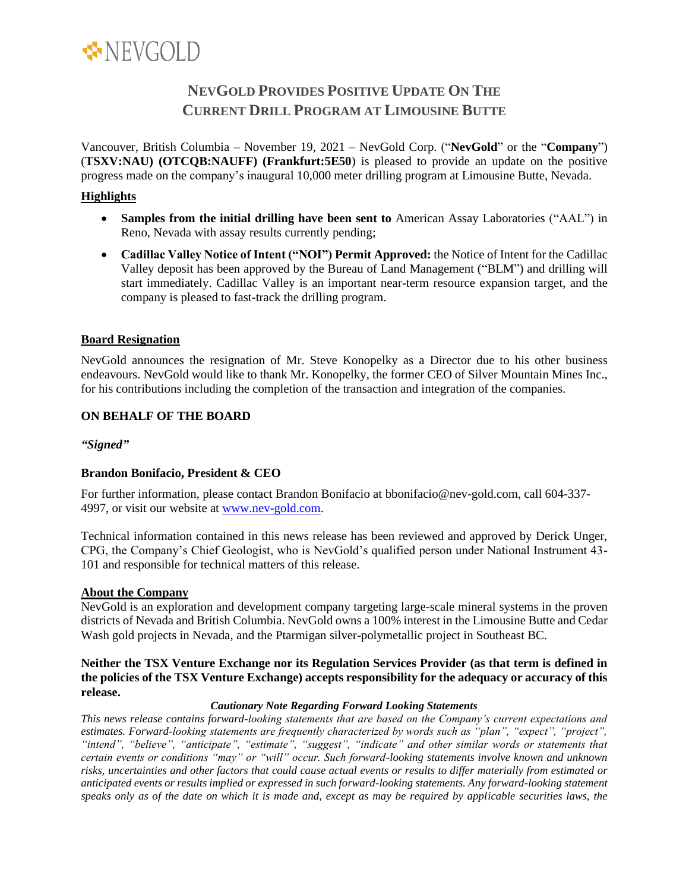

# **NEVGOLD PROVIDES POSITIVE UPDATE ON THE CURRENT DRILL PROGRAM AT LIMOUSINE BUTTE**

Vancouver, British Columbia – November 19, 2021 – NevGold Corp. ("**NevGold**" or the "**Company**") (**TSXV:NAU) (OTCQB:NAUFF) (Frankfurt:5E50**) is pleased to provide an update on the positive progress made on the company's inaugural 10,000 meter drilling program at Limousine Butte, Nevada.

## **Highlights**

- **Samples from the initial drilling have been sent to** American Assay Laboratories ("AAL") in Reno, Nevada with assay results currently pending;
- **Cadillac Valley Notice of Intent ("NOI") Permit Approved:** the Notice of Intent for the Cadillac Valley deposit has been approved by the Bureau of Land Management ("BLM") and drilling will start immediately. Cadillac Valley is an important near-term resource expansion target, and the company is pleased to fast-track the drilling program.

### **Board Resignation**

NevGold announces the resignation of Mr. Steve Konopelky as a Director due to his other business endeavours. NevGold would like to thank Mr. Konopelky, the former CEO of Silver Mountain Mines Inc., for his contributions including the completion of the transaction and integration of the companies.

### **ON BEHALF OF THE BOARD**

### *"Signed"*

## **Brandon Bonifacio, President & CEO**

For further information, please contact Brandon Bonifacio at bbonifacio@nev-gold.com, call 604-337- 4997, or visit our website at [www.nev-gold.com.](http://www.nev-gold.com/)

Technical information contained in this news release has been reviewed and approved by Derick Unger, CPG, the Company's Chief Geologist, who is NevGold's qualified person under National Instrument 43- 101 and responsible for technical matters of this release.

### **About the Company**

NevGold is an exploration and development company targeting large-scale mineral systems in the proven districts of Nevada and British Columbia. NevGold owns a 100% interest in the Limousine Butte and Cedar Wash gold projects in Nevada, and the Ptarmigan silver-polymetallic project in Southeast BC.

### **Neither the TSX Venture Exchange nor its Regulation Services Provider (as that term is defined in the policies of the TSX Venture Exchange) accepts responsibility for the adequacy or accuracy of this release.**

#### *Cautionary Note Regarding Forward Looking Statements*

*This news release contains forward-looking statements that are based on the Company's current expectations and estimates. Forward-looking statements are frequently characterized by words such as "plan", "expect", "project", "intend", "believe", "anticipate", "estimate", "suggest", "indicate" and other similar words or statements that certain events or conditions "may" or "will" occur. Such forward-looking statements involve known and unknown risks, uncertainties and other factors that could cause actual events or results to differ materially from estimated or anticipated events or results implied or expressed in such forward-looking statements. Any forward-looking statement speaks only as of the date on which it is made and, except as may be required by applicable securities laws, the*